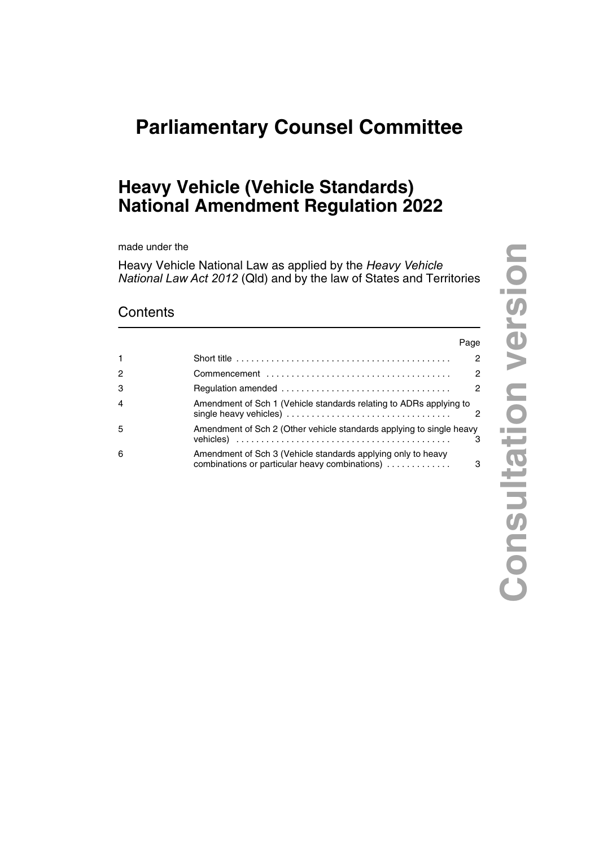# **Parliamentary Counsel Committee**

## **Heavy Vehicle (Vehicle Standards) National Amendment Regulation 2022**

made under the

Heavy Vehicle National Law as applied by the *Heavy Vehicle National Law Act 2012* (Qld) and by the law of States and Territories

### **Contents**

|                |                                                                                                                                                                      | Page           |
|----------------|----------------------------------------------------------------------------------------------------------------------------------------------------------------------|----------------|
|                | Short title $\ldots \ldots \ldots \ldots \ldots \ldots \ldots \ldots \ldots \ldots \ldots \ldots \ldots$                                                             | $\mathcal{P}$  |
| $\mathcal{P}$  |                                                                                                                                                                      | $\mathcal{P}$  |
| 3              |                                                                                                                                                                      | $\mathfrak{p}$ |
| $\overline{4}$ | Amendment of Sch 1 (Vehicle standards relating to ADRs applying to<br>single heavy vehicles) $\ldots \ldots \ldots \ldots \ldots \ldots \ldots \ldots \ldots \ldots$ | 2              |
| .5             | Amendment of Sch 2 (Other vehicle standards applying to single heavy                                                                                                 | з              |
| 6              | Amendment of Sch 3 (Vehicle standards applying only to heavy<br>combinations or particular heavy combinations)                                                       | 3              |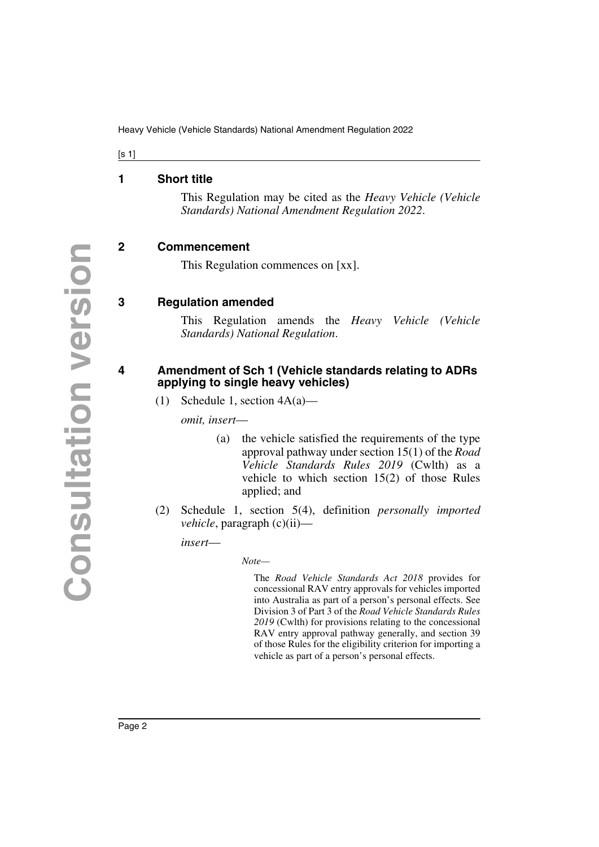Heavy Vehicle (Vehicle Standards) National Amendment Regulation 2022

 $[s 1]$ 

#### <span id="page-1-0"></span>**1 Short title**

<span id="page-1-1"></span>This Regulation may be cited as the *Heavy Vehicle (Vehicle Standards) National Amendment Regulation 2022*.

#### <span id="page-1-2"></span>**2 Commencement**

<span id="page-1-5"></span><span id="page-1-3"></span>This Regulation commences on [xx].

#### <span id="page-1-4"></span>**3 Regulation amended**

This Regulation amends the *Heavy Vehicle (Vehicle Standards) National Regulation*.

#### <span id="page-1-7"></span><span id="page-1-6"></span>**4 Amendment of Sch 1 (Vehicle standards relating to ADRs applying to single heavy vehicles)**

(1) Schedule 1, section 4A(a)—

*omit, insert*—

- (a) the vehicle satisfied the requirements of the type approval pathway under section 15(1) of the *Road Vehicle Standards Rules 2019* (Cwlth) as a vehicle to which section 15(2) of those Rules applied; and
- (2) Schedule 1, section 5(4), definition *personally imported vehicle*, paragraph (c)(ii)—

*insert*—

*Note—*

The *Road Vehicle Standards Act 2018* provides for concessional RAV entry approvals for vehicles imported into Australia as part of a person's personal effects. See Division 3 of Part 3 of the *Road Vehicle Standards Rules 2019* (Cwlth) for provisions relating to the concessional RAV entry approval pathway generally, and section 39 of those Rules for the eligibility criterion for importing a vehicle as part of a person's personal effects.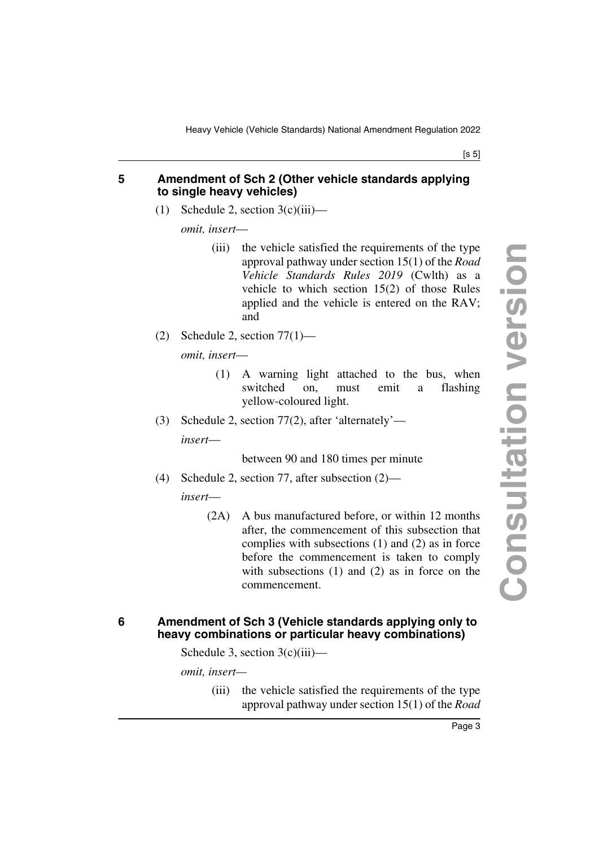#### $[s 5]$

#### <span id="page-2-1"></span><span id="page-2-0"></span>**5 Amendment of Sch 2 (Other vehicle standards applying to single heavy vehicles)**

(1) Schedule 2, section  $3(c)(iii)$ —

*omit, insert*—

- (iii) the vehicle satisfied the requirements of the type approval pathway under section 15(1) of the *Road Vehicle Standards Rules 2019* (Cwlth) as a vehicle to which section 15(2) of those Rules applied and the vehicle is entered on the RAV; and
- (2) Schedule 2, section  $77(1)$ —

*omit, insert*—

- (1) A warning light attached to the bus, when switched on, must emit a flashing yellow-coloured light.
- (3) Schedule 2, section 77(2), after 'alternately'—

*insert*—

#### between 90 and 180 times per minute

(4) Schedule 2, section 77, after subsection (2)—

*insert*—

(2A) A bus manufactured before, or within 12 months after, the commencement of this subsection that complies with subsections (1) and (2) as in force before the commencement is taken to comply with subsections (1) and (2) as in force on the commencement.

#### <span id="page-2-3"></span><span id="page-2-2"></span>**6 Amendment of Sch 3 (Vehicle standards applying only to heavy combinations or particular heavy combinations)**

Schedule 3, section 3(c)(iii)—

*omit, insert—*

(iii) the vehicle satisfied the requirements of the type approval pathway under section 15(1) of the *Road*